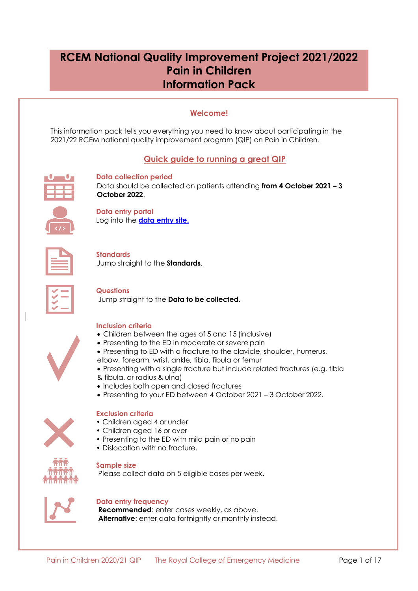# **RCEM National Quality Improvement Project 2021/2022 Pain in Children Information Pack**

## **Welcome!**

<span id="page-0-0"></span>This information pack tells you everything you need to know about participating in the 2021/22 RCEM national quality improvement program (QIP) on Pain in Children.

## **Quick guide to running a great QIP**

<span id="page-0-1"></span>

**Data collection period** Data should be collected on patients attending **from 4 October 2021 – 3 October 2022**.



**Data entry portal** Log into the **[data entry site.](https://audit.rcem.ac.uk/account/Login)**

**Standards** Jump straight to the **[Standards](#page-7-0)**.

## **Questions**

Jump straight to the **[Data to be collected.](#page-8-0)**



#### **Inclusion criteria**

- Children between the ages of 5 and 15 (inclusive)
- Presenting to the ED in moderate or severe pain
- Presenting to ED with a fracture to the clavicle, shoulder, humerus,
- elbow, forearm, wrist, ankle, tibia, fibula or femur
- Presenting with a single fracture but include related fractures (e.g. tibia
- & fibula, or radius & ulna)
- Includes both open and closed fractures
- Presenting to your ED between 4 October 2021 3 October 2022.

#### **Exclusion criteria**

- Children aged 4 or under
- Children aged 16 or over
- Presenting to the ED with mild pain or no pain
- Dislocation with no fracture.



#### **Sample size**

Please collect data on 5 eligible cases per week.



#### **Data entry frequency**

**Recommended**: enter cases weekly, as above. **Alternative**: enter data fortnightly or monthly instead.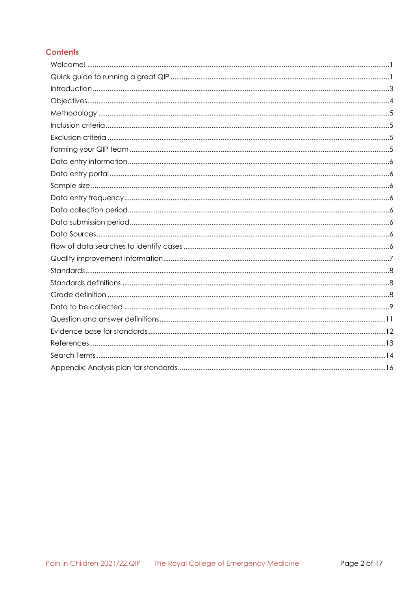## **Contents**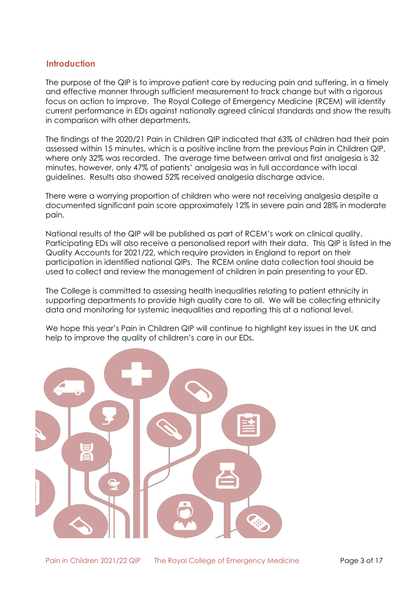## <span id="page-2-0"></span>**Introduction**

The purpose of the QIP is to improve patient care by reducing pain and suffering, in a timely and effective manner through sufficient measurement to track change but with a rigorous focus on action to improve. The Royal College of Emergency Medicine (RCEM) will identify current performance in EDs against nationally agreed clinical standards and show the results in comparison with other departments.

The findings of the 2020/21 Pain in Children QIP indicated that 63% of children had their pain assessed within 15 minutes, which is a positive incline from the previous Pain in Children QIP, where only 32% was recorded. The average time between arrival and first analgesia is 32 minutes, however, only 47% of patients' analgesia was in full accordance with local guidelines. Results also showed 52% received analgesia discharge advice.

There were a worrying proportion of children who were not receiving analgesia despite a documented significant pain score approximately 12% in severe pain and 28% in moderate pain.

National results of the QIP will be published as part of RCEM's work on clinical quality. Participating EDs will also receive a personalised report with their data. This QIP is listed in the Quality Accounts for 2021/22, which require providers in England to report on their participation in identified national QIPs. The RCEM online data collection tool should be used to collect and review the management of children in pain presenting to your ED.

The College is committed to assessing health inequalities relating to patient ethnicity in supporting departments to provide high quality care to all. We will be collecting ethnicity data and monitoring for systemic inequalities and reporting this at a national level.

We hope this year's Pain in Children QIP will continue to highlight key issues in the UK and help to improve the quality of children's care in our EDs.

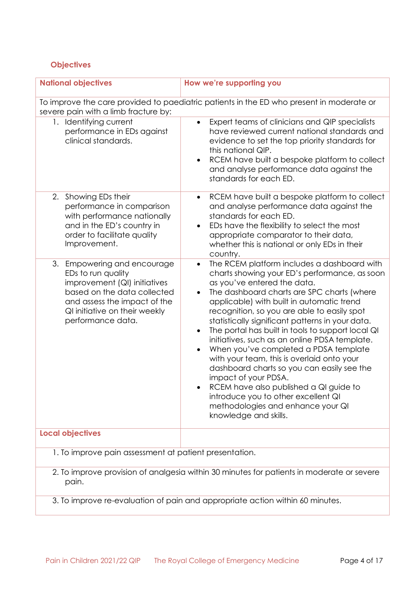## <span id="page-3-0"></span>**Objectives**

| <b>National objectives</b>                                                                                                                                                                             | How we're supporting you                                                                                                                                                                                                                                                                                                                                                                                                                                                                                                                                                                                                                                                                                                                                                                        |  |  |  |
|--------------------------------------------------------------------------------------------------------------------------------------------------------------------------------------------------------|-------------------------------------------------------------------------------------------------------------------------------------------------------------------------------------------------------------------------------------------------------------------------------------------------------------------------------------------------------------------------------------------------------------------------------------------------------------------------------------------------------------------------------------------------------------------------------------------------------------------------------------------------------------------------------------------------------------------------------------------------------------------------------------------------|--|--|--|
| To improve the care provided to paediatric patients in the ED who present in moderate or<br>severe pain with a limb fracture by:                                                                       |                                                                                                                                                                                                                                                                                                                                                                                                                                                                                                                                                                                                                                                                                                                                                                                                 |  |  |  |
| 1. Identifying current<br>performance in EDs against<br>clinical standards.                                                                                                                            | Expert teams of clinicians and QIP specialists<br>$\bullet$<br>have reviewed current national standards and<br>evidence to set the top priority standards for<br>this national QIP.<br>RCEM have built a bespoke platform to collect<br>$\bullet$<br>and analyse performance data against the<br>standards for each ED.                                                                                                                                                                                                                                                                                                                                                                                                                                                                         |  |  |  |
| 2. Showing EDs their<br>performance in comparison<br>with performance nationally<br>and in the ED's country in<br>order to facilitate quality<br>Improvement.                                          | RCEM have built a bespoke platform to collect<br>$\bullet$<br>and analyse performance data against the<br>standards for each ED.<br>EDs have the flexibility to select the most<br>$\bullet$<br>appropriate comparator to their data,<br>whether this is national or only EDs in their<br>country.                                                                                                                                                                                                                                                                                                                                                                                                                                                                                              |  |  |  |
| 3. Empowering and encourage<br>EDs to run quality<br>improvement (QI) initiatives<br>based on the data collected<br>and assess the impact of the<br>QI initiative on their weekly<br>performance data. | The RCEM platform includes a dashboard with<br>$\bullet$<br>charts showing your ED's performance, as soon<br>as you've entered the data.<br>The dashboard charts are SPC charts (where<br>$\bullet$<br>applicable) with built in automatic trend<br>recognition, so you are able to easily spot<br>statistically significant patterns in your data.<br>The portal has built in tools to support local QI<br>$\bullet$<br>initiatives, such as an online PDSA template.<br>When you've completed a PDSA template<br>$\bullet$<br>with your team, this is overlaid onto your<br>dashboard charts so you can easily see the<br>impact of your PDSA.<br>RCEM have also published a QI guide to<br>introduce you to other excellent QI<br>methodologies and enhance your QI<br>knowledge and skills. |  |  |  |
| <b>Local objectives</b>                                                                                                                                                                                |                                                                                                                                                                                                                                                                                                                                                                                                                                                                                                                                                                                                                                                                                                                                                                                                 |  |  |  |
| 1. To improve pain assessment at patient presentation.                                                                                                                                                 |                                                                                                                                                                                                                                                                                                                                                                                                                                                                                                                                                                                                                                                                                                                                                                                                 |  |  |  |
| 2. To improve provision of analgesia within 30 minutes for patients in moderate or severe<br>pain.                                                                                                     |                                                                                                                                                                                                                                                                                                                                                                                                                                                                                                                                                                                                                                                                                                                                                                                                 |  |  |  |

3. To improve re-evaluation of pain and appropriate action within 60 minutes.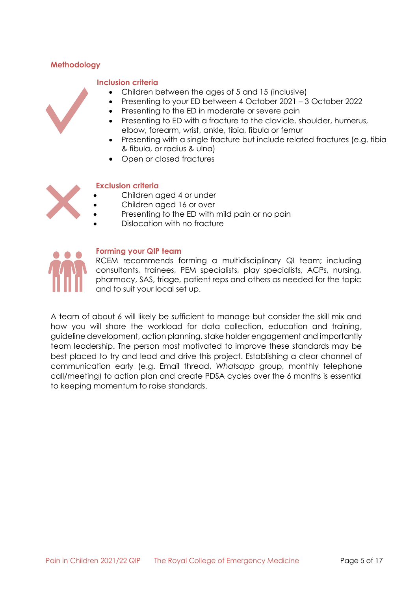## <span id="page-4-1"></span><span id="page-4-0"></span>**Methodology**

### **Inclusion criteria**

- Children between the ages of 5 and 15 (inclusive)
- Presenting to your ED between 4 October 2021 3 October 2022
- Presenting to the ED in moderate or severe pain
- Presenting to ED with a fracture to the clavicle, shoulder, humerus, elbow, forearm, wrist, ankle, tibia, fibula or femur
- Presenting with a single fracture but include related fractures (e.g. tibia & fibula, or radius & ulna)
- Open or closed fractures

### <span id="page-4-2"></span>**Exclusion criteria**

- Children aged 4 or under
- Children aged 16 or over
- Presenting to the ED with mild pain or no pain
- Dislocation with no fracture



## <span id="page-4-3"></span>**Forming your QIP team**

RCEM recommends forming a multidisciplinary QI team; including consultants, trainees, PEM specialists, play specialists, ACPs, nursing, pharmacy, SAS, triage, patient reps and others as needed for the topic and to suit your local set up.

A team of about 6 will likely be sufficient to manage but consider the skill mix and how you will share the workload for data collection, education and training, guideline development, action planning, stake holder engagement and importantly team leadership. The person most motivated to improve these standards may be best placed to try and lead and drive this project. Establishing a clear channel of communication early (e.g. Email thread, *Whatsapp* group, monthly telephone call/meeting) to action plan and create PDSA cycles over the 6 months is essential to keeping momentum to raise standards.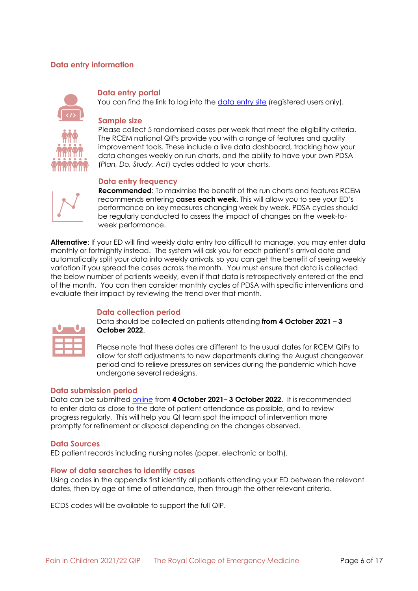## <span id="page-5-0"></span>**Data entry information**

<span id="page-5-2"></span><span id="page-5-1"></span>

#### **Data entry portal**

You can find the link to log into the [data entry site](https://audit.rcem.ac.uk/account/Login) (registered users only).

#### **Sample size**

Please collect 5 randomised cases per week that meet the eligibility criteria. The RCEM national QIPs provide you with a range of features and quality improvement tools. These include a live data dashboard, tracking how your data changes weekly on run charts, and the ability to have your own PDSA (*Plan, Do, Study, Act*) cycles added to your charts.

#### **Data entry frequency**

<span id="page-5-3"></span>

**Recommended**: To maximise the benefit of the run charts and features RCEM recommends entering **cases each week**. This will allow you to see your ED's performance on key measures changing week by week. PDSA cycles should be regularly conducted to assess the impact of changes on the week-toweek performance.

**Alternative**: If your ED will find weekly data entry too difficult to manage, you may enter data monthly or fortnightly instead. The system will ask you for each patient's arrival date and automatically split your data into weekly arrivals, so you can get the benefit of seeing weekly variation if you spread the cases across the month. You must ensure that data is collected the below number of patients weekly, even if that data is retrospectively entered at the end of the month. You can then consider monthly cycles of PDSA with specific interventions and evaluate their impact by reviewing the trend over that month.

### <span id="page-5-4"></span>**Data collection period**

Data should be collected on patients attending **from 4 October 2021 – 3 October 2022**.

Please note that these dates are different to the usual dates for RCEM QIPs to allow for staff adjustments to new departments during the August changeover period and to relieve pressures on services during the pandemic which have undergone several redesigns.

#### <span id="page-5-5"></span>**Data submission period**

Data can be submitted [online](https://audit.rcem.ac.uk/pages/home) from **4 October 2021– 3 October 2022**. It is recommended to enter data as close to the date of patient attendance as possible, and to review progress regularly. This will help you QI team spot the impact of intervention more promptly for refinement or disposal depending on the changes observed.

#### <span id="page-5-6"></span>**Data Sources**

ED patient records including nursing notes (paper, electronic or both).

#### <span id="page-5-7"></span>**Flow of data searches to identify cases**

Using codes in the appendix first identify all patients attending your ED between the relevant dates, then by age at time of attendance, then through the other relevant criteria.

ECDS codes will be available to support the full QIP.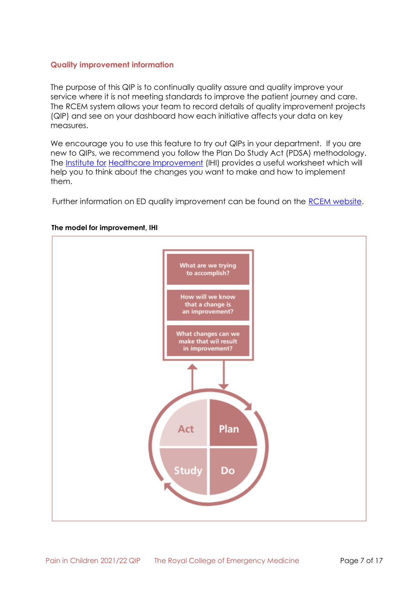### <span id="page-6-0"></span>**Quality improvement information**

The purpose of this QIP is to continually quality assure and quality improve your service where it is not meeting standards to improve the patient journey and care. The RCEM system allows your team to record details of quality improvement projects (QIP) and see on your dashboard how each initiative affects your data on key measures.

We encourage you to use this feature to try out QIPs in your department. If you are new to QIPs, we recommend you follow the Plan Do Study Act (PDSA) methodology. The [Institute for](http://www.ihi.org/resources/Pages/Tools/PlanDoStudyActWorksheet.aspx) Healthcare [Improvement](http://www.ihi.org/resources/Pages/Tools/PlanDoStudyActWorksheet.aspx) (IHI) provides a useful worksheet which will help you to think about the changes you want to make and how to implement them.

Further information on ED quality improvement can be found on the [RCEM website.](https://rcem.ac.uk/quality-improvement-2/)



#### **The model for improvement, IHI**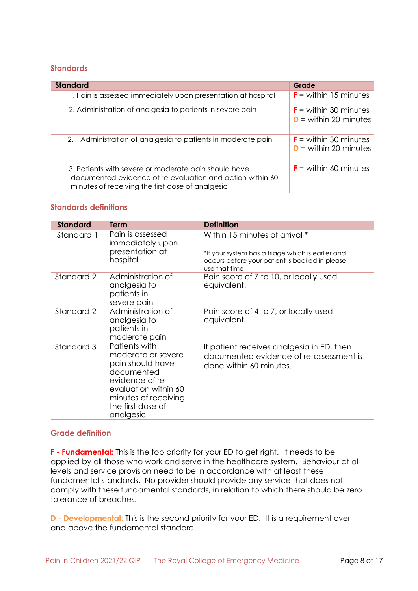## <span id="page-7-0"></span>**Standards**

| <b>Standard</b>                                                                                                                                                       | Grade                                              |
|-----------------------------------------------------------------------------------------------------------------------------------------------------------------------|----------------------------------------------------|
| 1. Pain is assessed immediately upon presentation at hospital                                                                                                         | $F =$ within 15 minutes                            |
| 2. Administration of analgesia to patients in severe pain                                                                                                             | $F =$ within 30 minutes<br>$D =$ within 20 minutes |
| 2. Administration of analgesia to patients in moderate pain                                                                                                           | $F =$ within 30 minutes<br>$D =$ within 20 minutes |
| 3. Patients with severe or moderate pain should have<br>documented evidence of re-evaluation and action within 60<br>minutes of receiving the first dose of analgesic | $F =$ within 60 minutes                            |

### <span id="page-7-1"></span>**Standards definitions**

| <b>Standard</b> | Term                                                                                                                                                                       | <b>Definition</b>                                                                                                                                      |
|-----------------|----------------------------------------------------------------------------------------------------------------------------------------------------------------------------|--------------------------------------------------------------------------------------------------------------------------------------------------------|
| Standard 1      | Pain is assessed<br>immediately upon<br>presentation at<br>hospital                                                                                                        | Within 15 minutes of arrival *<br>*If your system has a triage which is earlier and<br>occurs before your patient is booked in please<br>use that time |
| Standard 2      | Administration of<br>analgesia to<br>patients in<br>severe pain                                                                                                            | Pain score of 7 to 10, or locally used<br>equivalent.                                                                                                  |
| Standard 2      | Administration of<br>analgesia to<br>patients in<br>moderate pain                                                                                                          | Pain score of 4 to 7, or locally used<br>equivalent.                                                                                                   |
| Standard 3      | Patients with<br>moderate or severe<br>pain should have<br>documented<br>evidence of re-<br>evaluation within 60<br>minutes of receiving<br>the first dose of<br>analgesic | If patient receives analgesia in ED, then<br>documented evidence of re-assessment is<br>done within 60 minutes.                                        |

### <span id="page-7-2"></span>**Grade definition**

**F - Fundamental:** This is the top priority for your ED to get right. It needs to be applied by all those who work and serve in the healthcare system. Behaviour at all levels and service provision need to be in accordance with at least these fundamental standards. No provider should provide any service that does not comply with these fundamental standards, in relation to which there should be zero tolerance of breaches.

**D - Developmental:** This is the second priority for your ED. It is a requirement over and above the fundamental standard.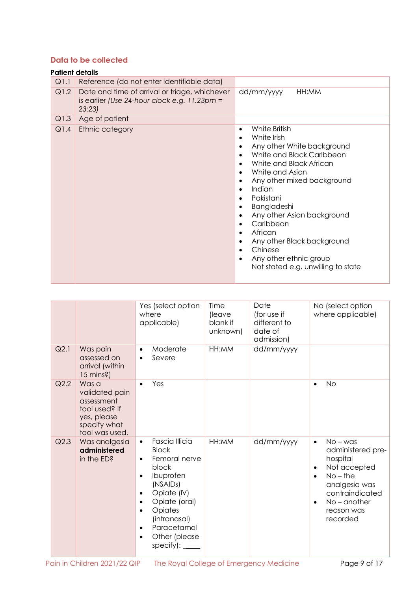## <span id="page-8-0"></span>**Data to be collected**

|      | <b>Patient details</b>                                                                                           |                                                                                                                                                                                                                                                                                                                                                                                                                                                                     |
|------|------------------------------------------------------------------------------------------------------------------|---------------------------------------------------------------------------------------------------------------------------------------------------------------------------------------------------------------------------------------------------------------------------------------------------------------------------------------------------------------------------------------------------------------------------------------------------------------------|
| Q1.1 | Reference (do not enter identifiable data)                                                                       |                                                                                                                                                                                                                                                                                                                                                                                                                                                                     |
| Q1.2 | Date and time of arrival or triage, whichever<br>is earlier (Use 24-hour clock e.g. $11.23 \text{pm} =$<br>23:23 | HH:MM<br>dd/mm/yyyy                                                                                                                                                                                                                                                                                                                                                                                                                                                 |
| Q1.3 | Age of patient                                                                                                   |                                                                                                                                                                                                                                                                                                                                                                                                                                                                     |
| Q1.4 | Ethnic category                                                                                                  | White British<br>$\bullet$<br>White Irish<br>$\bullet$<br>Any other White background<br>$\bullet$<br>White and Black Caribbean<br>White and Black African<br>White and Asian<br>$\bullet$<br>Any other mixed background<br>$\bullet$<br>Indian<br>$\bullet$<br>Pakistani<br>Bangladeshi<br>Any other Asian background<br>$\bullet$<br>Caribbean<br>African<br>Any other Black background<br>Chinese<br>Any other ethnic group<br>Not stated e.g. unwilling to state |

|      |                                                                                                         | Yes (select option<br>where<br>applicable)                                                                                                                                                                                                                                                               | Time<br>(leave<br>blank if<br>unknown) | Date<br>(for use if<br>different to<br>date of<br>admission) | No (select option<br>where applicable)                                                                                                                                                                        |
|------|---------------------------------------------------------------------------------------------------------|----------------------------------------------------------------------------------------------------------------------------------------------------------------------------------------------------------------------------------------------------------------------------------------------------------|----------------------------------------|--------------------------------------------------------------|---------------------------------------------------------------------------------------------------------------------------------------------------------------------------------------------------------------|
| Q2.1 | Was pain<br>assessed on<br>arrival (within<br>15 mins?)                                                 | Moderate<br>$\bullet$<br>Severe                                                                                                                                                                                                                                                                          | HH:MM                                  | dd/mm/yyyy                                                   |                                                                                                                                                                                                               |
| Q2.2 | Was a<br>validated pain<br>assessment<br>tool used? If<br>yes, please<br>specify what<br>tool was used. | Yes<br>$\bullet$                                                                                                                                                                                                                                                                                         |                                        |                                                              | <b>No</b><br>$\bullet$                                                                                                                                                                                        |
| Q2.3 | Was analgesia<br>administered<br>in the ED?                                                             | <b>Fascia Illicia</b><br>$\bullet$<br><b>Block</b><br>Femoral nerve<br>$\bullet$<br>block<br>Ibuprofen<br>$\bullet$<br>(NSAIDs)<br>Opiate (IV)<br>$\bullet$<br>Opiate (oral)<br>$\bullet$<br>Opiates<br>$\bullet$<br>(intranasal)<br>Paracetamol<br>$\bullet$<br>Other (please<br>$\bullet$<br>specify): | HH:MM                                  | dd/mm/yyyy                                                   | $No - was$<br>$\bullet$<br>administered pre-<br>hospital<br>Not accepted<br>$\bullet$<br>$No$ – the<br>$\bullet$<br>analgesia was<br>contraindicated<br>$No$ – another<br>$\bullet$<br>reason was<br>recorded |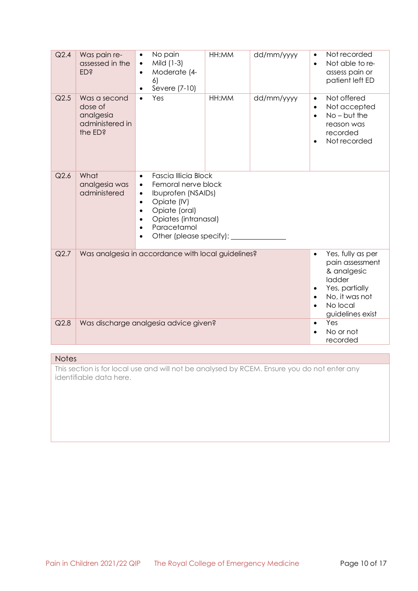| Q2.4    | Was pain re-<br>assessed in the<br>ED <sub>s</sub>                                                                                       | No pain<br>$\bullet$<br>Mild (1-3)<br>$\bullet$<br>Moderate (4-<br>$\bullet$<br>6)<br>Severe (7-10)                                                                                                                                                                                       | HH:MM | dd/mm/yyyy                                | Not recorded<br>$\bullet$<br>Not able to re-<br>$\bullet$<br>assess pain or<br>patient left ED                                              |
|---------|------------------------------------------------------------------------------------------------------------------------------------------|-------------------------------------------------------------------------------------------------------------------------------------------------------------------------------------------------------------------------------------------------------------------------------------------|-------|-------------------------------------------|---------------------------------------------------------------------------------------------------------------------------------------------|
| $Q$ 2.5 | Was a second<br>dose of<br>analgesia<br>administered in<br>the ED?                                                                       | Yes<br>$\bullet$                                                                                                                                                                                                                                                                          | HH:MM | dd/mm/yyyy                                | Not offered<br>$\bullet$<br>Not accepted<br>$\bullet$<br>$No - but the$<br>$\bullet$<br>reason was<br>recorded<br>Not recorded<br>$\bullet$ |
| Q2.6    | What<br>analgesia was<br>administered                                                                                                    | <b>Fascia Illicia Block</b><br>$\bullet$<br>Femoral nerve block<br>$\bullet$<br><b>Ibuprofen (NSAIDs)</b><br>$\bullet$<br>Opiate (IV)<br>$\bullet$<br>Opiate (oral)<br>$\bullet$<br>Opiates (intranasal)<br>$\bullet$<br>Paracetamol<br>$\bullet$<br>Other (please specify):<br>$\bullet$ |       |                                           |                                                                                                                                             |
| Q2.7    | Was analgesia in accordance with local guidelines?<br>$\bullet$<br>& analgesic<br>ladder<br>Yes, partially<br>No, it was not<br>No local |                                                                                                                                                                                                                                                                                           |       |                                           | Yes, fully as per<br>pain assessment<br>guidelines exist                                                                                    |
| Q2.8    | Was discharge analgesia advice given?                                                                                                    |                                                                                                                                                                                                                                                                                           |       | Yes<br>$\bullet$<br>No or not<br>recorded |                                                                                                                                             |

#### **Notes**

This section is for local use and will not be analysed by RCEM. Ensure you do not enter any identifiable data here.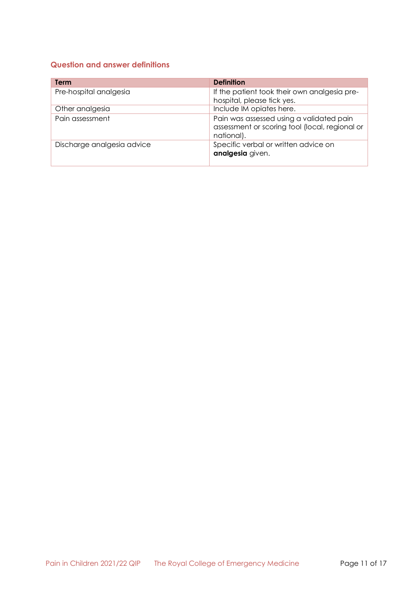## <span id="page-10-0"></span>**Question and answer definitions**

| Term                       | <b>Definition</b>                                                                                        |
|----------------------------|----------------------------------------------------------------------------------------------------------|
| Pre-hospital analgesia     | If the patient took their own analgesia pre-<br>hospital, please tick yes.                               |
| Other analgesia            | Include IM opiates here.                                                                                 |
| Pain assessment            | Pain was assessed using a validated pain<br>assessment or scoring tool (local, regional or<br>national). |
| Discharge analgesia advice | Specific verbal or written advice on<br>analgesia given.                                                 |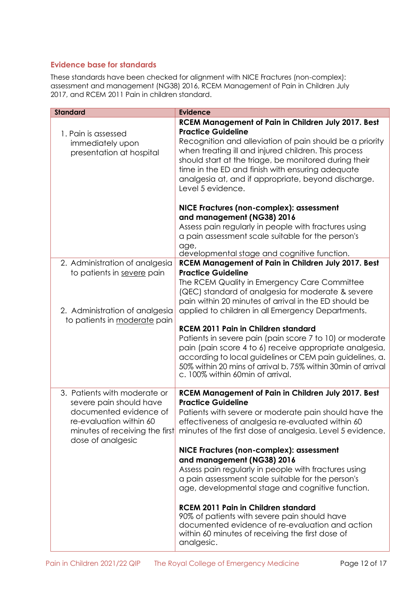## <span id="page-11-0"></span>**Evidence base for standards**

These standards have been checked for alignment with NICE Fractures (non-complex): assessment and management (NG38) 2016, RCEM Management of Pain in Children July 2017, and RCEM 2011 Pain in children standard.

| <b>Standard</b>                | <b>Evidence</b>                                              |
|--------------------------------|--------------------------------------------------------------|
|                                | <b>RCEM Management of Pain in Children July 2017. Best</b>   |
|                                |                                                              |
| 1. Pain is assessed            | <b>Practice Guideline</b>                                    |
| immediately upon               | Recognition and alleviation of pain should be a priority     |
| presentation at hospital       | when treating ill and injured children. This process         |
|                                | should start at the triage, be monitored during their        |
|                                | time in the ED and finish with ensuring adequate             |
|                                | analgesia at, and if appropriate, beyond discharge.          |
|                                | Level 5 evidence.                                            |
|                                |                                                              |
|                                | NICE Fractures (non-complex): assessment                     |
|                                | and management (NG38) 2016                                   |
|                                | Assess pain regularly in people with fractures using         |
|                                | a pain assessment scale suitable for the person's            |
|                                |                                                              |
|                                | age,<br>developmental stage and cognitive function.          |
| 2. Administration of analgesia | RCEM Management of Pain in Children July 2017. Best          |
| to patients in severe pain     | <b>Practice Guideline</b>                                    |
|                                |                                                              |
|                                | The RCEM Quality in Emergency Care Committee                 |
|                                | (QEC) standard of analgesia for moderate & severe            |
|                                | pain within 20 minutes of arrival in the ED should be        |
| 2. Administration of analgesia | applied to children in all Emergency Departments.            |
| to patients in moderate pain   |                                                              |
|                                | <b>RCEM 2011 Pain in Children standard</b>                   |
|                                | Patients in severe pain (pain score 7 to 10) or moderate     |
|                                | pain (pain score 4 to 6) receive appropriate analgesia,      |
|                                | according to local guidelines or CEM pain guidelines, a.     |
|                                | 50% within 20 mins of arrival b. 75% within 30min of arrival |
|                                | c. 100% within 60min of arrival.                             |
|                                |                                                              |
| 3. Patients with moderate or   | RCEM Management of Pain in Children July 2017. Best          |
| severe pain should have        | <b>Practice Guideline</b>                                    |
| documented evidence of         | Patients with severe or moderate pain should have the        |
| re-evaluation within 60        | effectiveness of analgesia re-evaluated within 60            |
| minutes of receiving the first | minutes of the first dose of analgesia. Level 5 evidence.    |
| dose of analgesic              |                                                              |
|                                | NICE Fractures (non-complex): assessment                     |
|                                | and management (NG38) 2016                                   |
|                                | Assess pain regularly in people with fractures using         |
|                                | a pain assessment scale suitable for the person's            |
|                                | age, developmental stage and cognitive function.             |
|                                |                                                              |
|                                | <b>RCEM 2011 Pain in Children standard</b>                   |
|                                | 90% of patients with severe pain should have                 |
|                                | documented evidence of re-evaluation and action              |
|                                | within 60 minutes of receiving the first dose of             |
|                                | analgesic.                                                   |
|                                |                                                              |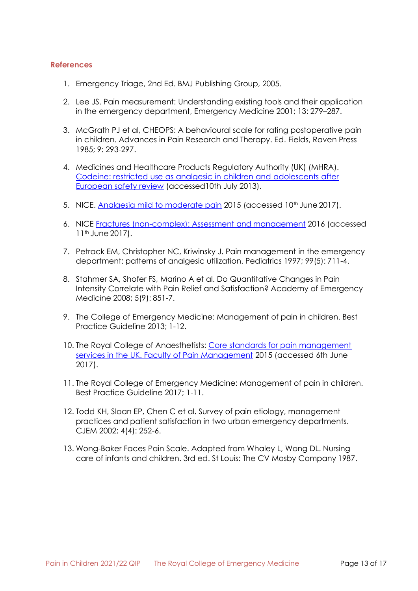#### <span id="page-12-0"></span>**References**

- 1. Emergency Triage, 2nd Ed. BMJ Publishing Group, 2005.
- 2. Lee JS. Pain measurement: Understanding existing tools and their application in the emergency department, Emergency Medicine 2001; 13: 279–287.
- 3. McGrath PJ et al, CHEOPS: A behavioural scale for rating postoperative pain in children. Advances in Pain Research and Therapy. Ed. Fields, Raven Press 1985; 9: 293-297.
- 4. Medicines and Healthcare Products Regulatory Authority (UK) (MHRA)[.](https://www.gov.uk/drug-safety-update/codeine-restricted-use-as-analgesic-in-children-and-adolescents-after-european-safety-review) [Codeine: restricted use as analgesic in children and adolescents after](https://www.gov.uk/drug-safety-update/codeine-restricted-use-as-analgesic-in-children-and-adolescents-after-european-safety-review) [European safety review](https://www.gov.uk/drug-safety-update/codeine-restricted-use-as-analgesic-in-children-and-adolescents-after-european-safety-review) (accessed10th July 2013).
- 5. NICE. [Analgesia mild to moderate pain](https://cks.nice.org.uk/analgesia-mild-to-moderate-pain) 2015 (accessed 10<sup>th</sup> June 2017).
- 6. NICE [Fractures \(non-complex\): Assessment and management](https://www.nice.org.uk/guidance/ng38) 2016 (accessed 11<sup>th</sup> June 2017).
- 7. Petrack EM, Christopher NC, Kriwinsky J. Pain management in the emergency department: patterns of analgesic utilization. Pediatrics 1997; 99(5): 711-4.
- 8. Stahmer SA, Shofer FS, Marino A et al. Do Quantitative Changes in Pain Intensity Correlate with Pain Relief and Satisfaction? Academy of Emergency Medicine 2008; 5(9): 851-7.
- 9. The College of Emergency Medicine: Management of pain in children. Best Practice Guideline 2013; 1-12.
- 10. The Royal College of Anaesthetists: [Core standards for pain management](http://www.rcoa.ac.uk/system/files/FPM-CSPMS-UK2015.pdf) [services in the UK. Faculty of Pain Management](http://www.rcoa.ac.uk/system/files/FPM-CSPMS-UK2015.pdf) 2015 (accessed 6th June 2017).
- 11. The Royal College of Emergency Medicine: Management of pain in children. Best Practice Guideline 2017; 1-11.
- 12. Todd KH, Sloan EP, Chen C et al. Survey of pain etiology, management practices and patient satisfaction in two urban emergency departments. CJEM 2002; 4(4): 252-6.
- 13. Wong-Baker Faces Pain Scale. Adapted from Whaley L, Wong DL. Nursing care of infants and children. 3rd ed. St Louis: The CV Mosby Company 1987.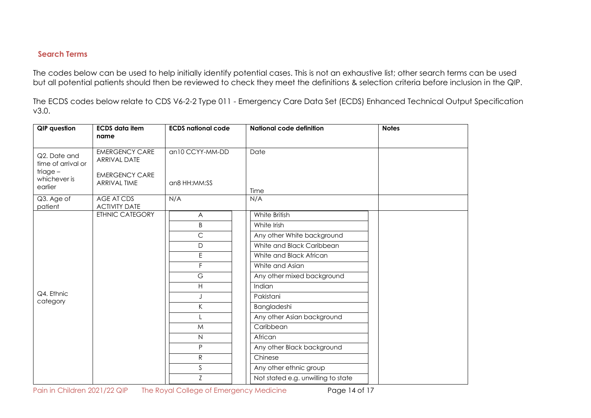## **Search Terms**

The codes below can be used to help initially identify potential cases. This is not an exhaustive list; other search terms can be used but all potential patients should then be reviewed to check they meet the definitions & selection criteria before inclusion in the QIP.

The ECDS codes below relate to CDS V6-2-2 Type 011 - Emergency Care Data Set (ECDS) Enhanced Technical Output Specification v3.0.

<span id="page-13-0"></span>

| QIP question                          | <b>ECDS</b> data item<br>name                | <b>ECDS national code</b> | <b>National code definition</b>    | <b>Notes</b> |
|---------------------------------------|----------------------------------------------|---------------------------|------------------------------------|--------------|
| Q2. Date and<br>time of arrival or    | <b>EMERGENCY CARE</b><br><b>ARRIVAL DATE</b> | an10 CCYY-MM-DD           | Date                               |              |
| $triage -$<br>whichever is<br>earlier | <b>EMERGENCY CARE</b><br><b>ARRIVAL TIME</b> | an8 HH:MM:SS              | Time                               |              |
| Q3. Age of<br>patient                 | AGE AT CDS<br><b>ACTIVITY DATE</b>           | N/A                       | N/A                                |              |
|                                       | <b>ETHNIC CATEGORY</b>                       | A                         | White British                      |              |
|                                       |                                              | B                         | White Irish                        |              |
|                                       |                                              | $\mathsf{C}$              | Any other White background         |              |
|                                       |                                              | $\mathsf D$               | White and Black Caribbean          |              |
|                                       |                                              | E                         | White and Black African            |              |
|                                       |                                              | F                         | White and Asian                    |              |
|                                       |                                              | $\mathbb{G}% _{\alpha}$   | Any other mixed background         |              |
|                                       |                                              | H                         | Indian                             |              |
| Q4. Ethnic<br>category                |                                              |                           | Pakistani                          |              |
|                                       |                                              | K                         | Bangladeshi                        |              |
|                                       |                                              |                           | Any other Asian background         |              |
|                                       |                                              | M                         | Caribbean                          |              |
|                                       |                                              | $\mathsf{N}\xspace$       | African                            |              |
|                                       |                                              | P                         | Any other Black background         |              |
|                                       |                                              | ${\sf R}$                 | Chinese                            |              |
|                                       |                                              | $\mathsf S$               | Any other ethnic group             |              |
|                                       |                                              | Z                         | Not stated e.g. unwilling to state |              |

Pain in Children 2021/22 QIP The Royal College of Emergency Medicine Page 14 of 17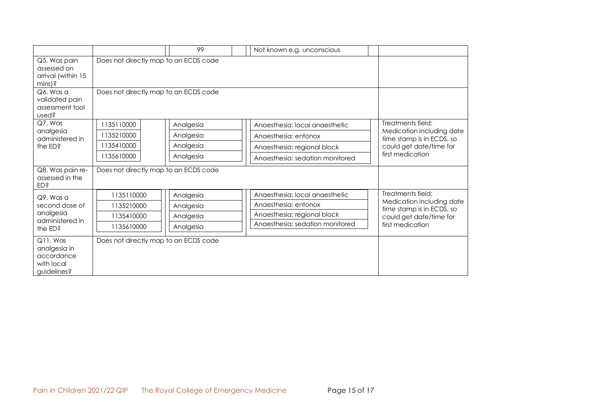|                                                                        |                                       | 99        | Not known e.g. unconscious      |  |                                                                                                                            |
|------------------------------------------------------------------------|---------------------------------------|-----------|---------------------------------|--|----------------------------------------------------------------------------------------------------------------------------|
| Q5. Was pain<br>assessed on<br>arrival (within 15<br>mins)?            | Does not directly map to an ECDS code |           |                                 |  |                                                                                                                            |
| Q6. Was a<br>validated pain<br>assessment tool<br>used?                | Does not directly map to an ECDS code |           |                                 |  |                                                                                                                            |
| Q7. Was                                                                | 1135110000                            | Analgesia | Angesthesia: local angesthetic  |  | Treatments field:<br>Medication including date<br>time stamp is in ECDS, so<br>could get date/time for<br>first medication |
| analgesia<br>administered in<br>the ED?                                | 1135210000                            | Analgesia | Anaesthesia: entonox            |  |                                                                                                                            |
|                                                                        | 1135410000                            | Analgesia | Anaesthesia: regional block     |  |                                                                                                                            |
|                                                                        | 1135610000                            | Analgesia | Anaesthesia: sedation monitored |  |                                                                                                                            |
| Q8. Was pain re-<br>assessed in the<br><b>ED</b> \$                    | Does not directly map to an ECDS code |           |                                 |  |                                                                                                                            |
| Q9. Was a<br>second dose of<br>analgesia<br>administered in<br>the ED? | 1135110000                            | Analgesia | Anaesthesia: local anaesthetic  |  | Treatments field:<br>Medication including date<br>time stamp is in ECDS, so<br>could get date/time for                     |
|                                                                        | 1135210000                            | Analgesia | Anaesthesia: entonox            |  |                                                                                                                            |
|                                                                        | 1135410000                            | Analgesia | Anaesthesia: regional block     |  |                                                                                                                            |
|                                                                        | 1135610000                            | Analgesia | Anaesthesia: sedation monitored |  | first medication                                                                                                           |
| Q11. Was<br>analgesia in<br>accordance<br>with local<br>quidelines?    | Does not directly map to an ECDS code |           |                                 |  |                                                                                                                            |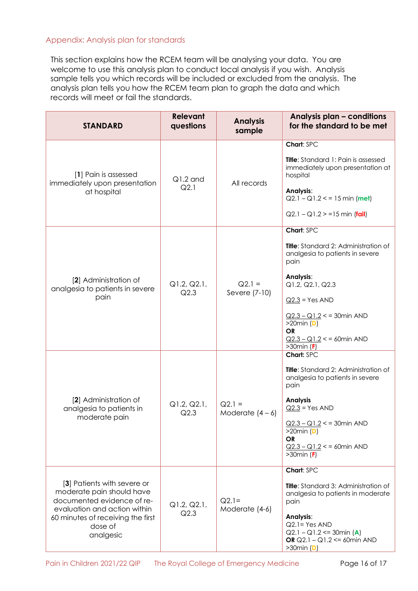## <span id="page-15-0"></span>Appendix: Analysis plan for standards

This section explains how the RCEM team will be analysing your data. You are welcome to use this analysis plan to conduct local analysis if you wish. Analysis sample tells you which records will be included or excluded from the analysis. The analysis plan tells you how the RCEM team plan to graph the data and which records will meet or fail the standards.

| <b>STANDARD</b>                                                                                                                                                                     | <b>Relevant</b><br>questions | <b>Analysis</b><br>sample      | Analysis plan - conditions<br>for the standard to be met                                                                                                                                                                                                      |
|-------------------------------------------------------------------------------------------------------------------------------------------------------------------------------------|------------------------------|--------------------------------|---------------------------------------------------------------------------------------------------------------------------------------------------------------------------------------------------------------------------------------------------------------|
| [1] Pain is assessed<br>immediately upon presentation<br>at hospital                                                                                                                | $Q1.2$ and<br>Q2.1           | All records                    | Chart: SPC<br><b>Title:</b> Standard 1: Pain is assessed<br>immediately upon presentation at<br>hospital<br>Analysis:<br>$Q2.1 - Q1.2 \le 15 \text{ min (met)}$<br>$Q2.1 - Q1.2 > 15$ min (fail)                                                              |
| [2] Administration of<br>analgesia to patients in severe<br>pain                                                                                                                    | Q1.2, Q2.1,<br>Q2.3          | $Q2.1 =$<br>Severe (7-10)      | Chart: SPC<br>Title: Standard 2: Administration of<br>analgesia to patients in severe<br>pain<br>Analysis:<br>Q1.2, Q2.1, Q2.3<br>$Q2.3$ = Yes AND<br>$Q2.3 - Q1.2 < 30$ min AND<br>$>20$ min (D)<br><b>OR</b><br>$Q2.3 - Q1.2 < 50$ min AND<br>$>30$ min (F) |
| [2] Administration of<br>analgesia to patients in<br>moderate pain                                                                                                                  | Q1.2, Q2.1,<br>Q2.3          | $Q2.1 =$<br>Moderate $(4 - 6)$ | Chart: SPC<br><b>Title:</b> Standard 2: Administration of<br>analgesia to patients in severe<br>pain<br><b>Analysis</b><br>$Q2.3$ = Yes AND<br>$Q2.3 - Q1.2 < 30$ min AND<br>$>20$ min (D)<br><b>OR</b><br>$Q2.3 - Q1.2 < 50$ min AND<br>$>30$ min (F)        |
| [3] Patients with severe or<br>moderate pain should have<br>documented evidence of re-<br>evaluation and action within<br>60 minutes of receiving the first<br>dose of<br>analgesic | Q1.2, Q2.1,<br>Q2.3          | $Q2.1=$<br>Moderate (4-6)      | Chart: SPC<br><b>Title:</b> Standard 3: Administration of<br>analgesia to patients in moderate<br>pain<br>Analysis:<br>$Q2.1 = Yes AND$<br>$Q2.1 - Q1.2 \leq 30$ min (A)<br>OR $Q2.1 - Q1.2 \le 60$ min AND<br>$>30$ min (D)                                  |